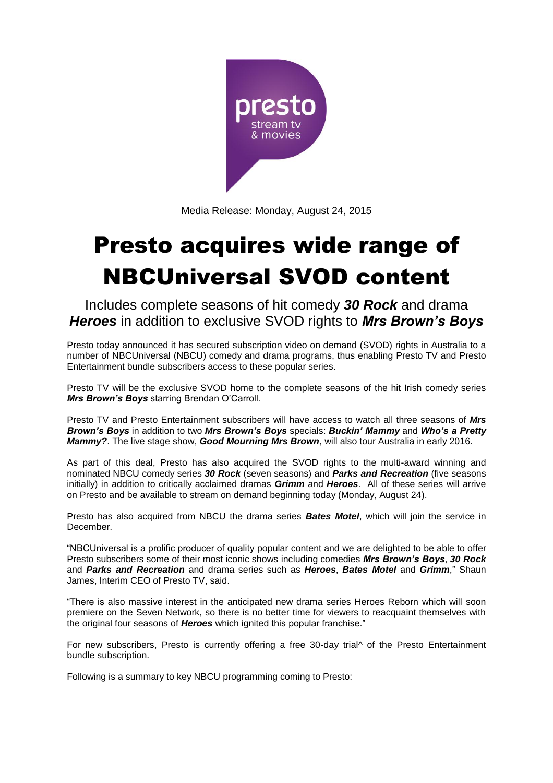

Media Release: Monday, August 24, 2015

# Presto acquires wide range of NBCUniversal SVOD content

Includes complete seasons of hit comedy *30 Rock* and drama *Heroes* in addition to exclusive SVOD rights to *Mrs Brown's Boys*

Presto today announced it has secured subscription video on demand (SVOD) rights in Australia to a number of NBCUniversal (NBCU) comedy and drama programs, thus enabling Presto TV and Presto Entertainment bundle subscribers access to these popular series.

Presto TV will be the exclusive SVOD home to the complete seasons of the hit Irish comedy series *Mrs Brown's Boys* starring Brendan O'Carroll.

Presto TV and Presto Entertainment subscribers will have access to watch all three seasons of *Mrs Brown's Boys* in addition to two *Mrs Brown's Boys* specials: *Buckin' Mammy* and *Who's a Pretty Mammy?*. The live stage show, *Good Mourning Mrs Brown*, will also tour Australia in early 2016.

As part of this deal, Presto has also acquired the SVOD rights to the multi-award winning and nominated NBCU comedy series *30 Rock* (seven seasons) and *Parks and Recreation* (five seasons initially) in addition to critically acclaimed dramas *Grimm* and *Heroes*. All of these series will arrive on Presto and be available to stream on demand beginning today (Monday, August 24).

Presto has also acquired from NBCU the drama series *Bates Motel*, which will join the service in December.

"NBCUniversal is a prolific producer of quality popular content and we are delighted to be able to offer Presto subscribers some of their most iconic shows including comedies *Mrs Brown's Boys*, *30 Rock* and *Parks and Recreation* and drama series such as *Heroes*, *Bates Motel* and *Grimm*," Shaun James, Interim CEO of Presto TV, said.

"There is also massive interest in the anticipated new drama series Heroes Reborn which will soon premiere on the Seven Network, so there is no better time for viewers to reacquaint themselves with the original four seasons of *Heroes* which ignited this popular franchise."

For new subscribers, Presto is currently offering a free 30-day trial^ of the Presto Entertainment bundle subscription.

Following is a summary to key NBCU programming coming to Presto: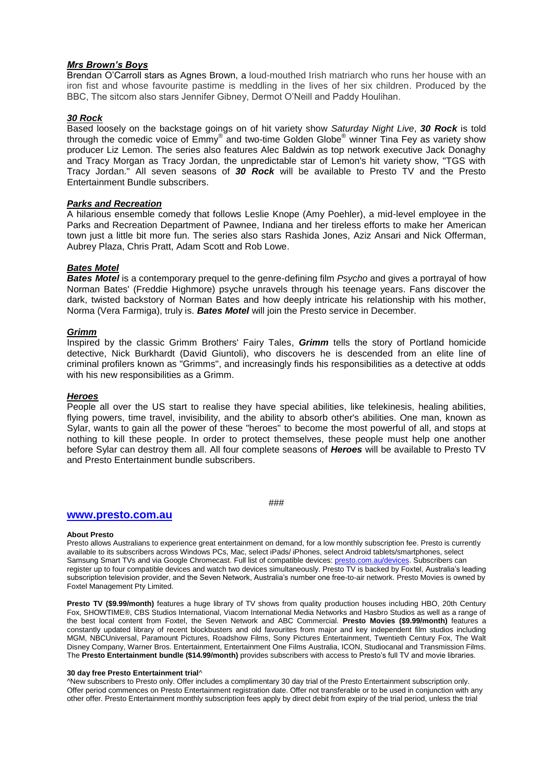# *Mrs Brown's Boys*

Brendan O'Carroll stars as Agnes Brown, a loud-mouthed Irish matriarch who runs her house with an iron fist and whose favourite pastime is meddling in the lives of her six children. Produced by the BBC, The sitcom also stars Jennifer Gibney, Dermot O'Neill and Paddy Houlihan.

# *30 Rock*

Based loosely on the backstage goings on of hit variety show *Saturday Night Live*, *30 Rock* is told through the comedic voice of Emmy® and two-time Golden Globe® winner Tina Fey as variety show producer Liz Lemon. The series also features Alec Baldwin as top network executive Jack Donaghy and Tracy Morgan as Tracy Jordan, the unpredictable star of Lemon's hit variety show, "TGS with Tracy Jordan." All seven seasons of *30 Rock* will be available to Presto TV and the Presto Entertainment Bundle subscribers.

# *Parks and Recreation*

A hilarious ensemble comedy that follows Leslie Knope (Amy Poehler), a mid-level employee in the Parks and Recreation Department of Pawnee, Indiana and her tireless efforts to make her American town just a little bit more fun. The series also stars Rashida Jones, Aziz Ansari and Nick Offerman, Aubrey Plaza, Chris Pratt, Adam Scott and Rob Lowe.

# *Bates Motel*

*Bates Motel* is a contemporary prequel to the genre-defining film *Psycho* and gives a portrayal of how Norman Bates' (Freddie Highmore) psyche unravels through his teenage years. Fans discover the dark, twisted backstory of Norman Bates and how deeply intricate his relationship with his mother, Norma (Vera Farmiga), truly is. *Bates Motel* will join the Presto service in December.

# *Grimm*

Inspired by the classic Grimm Brothers' Fairy Tales, *Grimm* tells the story of Portland homicide detective, Nick Burkhardt (David Giuntoli), who discovers he is descended from an elite line of criminal profilers known as "Grimms", and increasingly finds his responsibilities as a detective at odds with his new responsibilities as a Grimm.

## *Heroes*

People all over the US start to realise they have special abilities, like telekinesis, healing abilities, flying powers, time travel, invisibility, and the ability to absorb other's abilities. One man, known as Sylar, wants to gain all the power of these "heroes" to become the most powerful of all, and stops at nothing to kill these people. In order to protect themselves, these people must help one another before Sylar can destroy them all. All four complete seasons of *Heroes* will be available to Presto TV and Presto Entertainment bundle subscribers.

###

# **[www.presto.com.au](http://www.presto.com.au/)**

## **About Presto**

Presto allows Australians to experience great entertainment on demand, for a low monthly subscription fee. Presto is currently available to its subscribers across Windows PCs, Mac, select iPads/ iPhones, select Android tablets/smartphones, select Samsung Smart TVs and via Google Chromecast. Full list of compatible devices[: presto.com.au/devices.](http://presto.com.au/devices) Subscribers can register up to four compatible devices and watch two devices simultaneously. Presto TV is backed by Foxtel, Australia's leading subscription television provider, and the Seven Network, Australia's number one free-to-air network. Presto Movies is owned by Foxtel Management Pty Limited.

**Presto TV (\$9.99/month)** features a huge library of TV shows from quality production houses including HBO, 20th Century Fox, SHOWTIME®, CBS Studios International, Viacom International Media Networks and Hasbro Studios as well as a range of the best local content from Foxtel, the Seven Network and ABC Commercial. **Presto Movies (\$9.99/month)** features a constantly updated library of recent blockbusters and old favourites from major and key independent film studios including MGM, NBCUniversal, Paramount Pictures, Roadshow Films, Sony Pictures Entertainment, Twentieth Century Fox, The Walt Disney Company, Warner Bros. Entertainment, Entertainment One Films Australia, ICON, Studiocanal and Transmission Films. The **Presto Entertainment bundle (\$14.99/month)** provides subscribers with access to Presto's full TV and movie libraries.

## **30 day free Presto Entertainment trial**^

^New subscribers to Presto only. Offer includes a complimentary 30 day trial of the Presto Entertainment subscription only. Offer period commences on Presto Entertainment registration date. Offer not transferable or to be used in conjunction with any other offer. Presto Entertainment monthly subscription fees apply by direct debit from expiry of the trial period, unless the trial